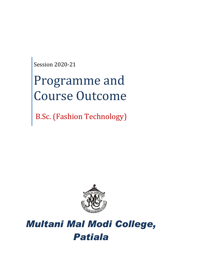Session 2020-21

# Programme and Course Outcome

B.Sc. (Fashion Technology)



## *Multani Mal Modi College, Patiala*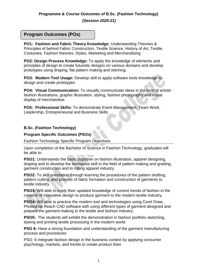*(Session 2020-21)*

## **Program Outcomes (POs)**

**PO1: Fashion and Fabric Theory Knowledge:** Understanding Theories & Principles of behind Fabric Construction, Textile Science, History of Art, Textile, Costumes, Fashion theories, Styles, Marketing and Merchandising

**PO2: Design Process Knowledge:** To apply the knowledge of elements and principles of design to create futuristic designs on various domains and develop prototypes using draping, flat pattern making and stitching.

**PO3: Modern Tool Usage:** Develop skill to apply software tools knowledge to design and create prototypes

**PO4: Visual Communication:** To visually communicate ideas in the form of artistic fashion illustrations, graphic illustration, styling, fashion photography and visual display of merchandise.

**PO5: Professional Skills:** To demonstrate Event Management, Team Work, Leadership, Entrepreneurial and Business Skills

#### **B.Sc. (Fashion Technology)**

#### **Program Specific Outcomes (PSOs)**

Fashion Technology Specific Program Objectives

Upon completion of the Bachelor of Science in Fashion Technology, graduates will be able to:

**PSO1:** Understands the basic cognitive on fashion illustration, apparel designing, draping and to develop the innovative skill in the field of pattern making and grading, garment construction and to rolling apparel industry.

**PSO2:** To skill orientation through learning the procedures of the pattern drafting, pattern cutting, and process of fabric formation and construction of garments to textile industry.

**PSO3:** Will able to apply their updated knowledge of current trends of fashion in the creation of innovative design to produce garment to the modern textile industry.

**PSO4:** Will able to practice the modern tool and technologies using Corel Draw, Photoshop Reach CAD software with using different types of garment designed and prepare the garment making to the textile and fashion industry.

**PSO5:** The students will exhibit the demonstration in fashion portfolio sketching, dyeing and printing textile processing in the modern world.

**PSO 6:** Have a strong foundation and understanding of the garment manufacturing process and procedures

PSO: 6 Integrate fashion design in the business context by applying consumer psychology, markets, and trends to create product lines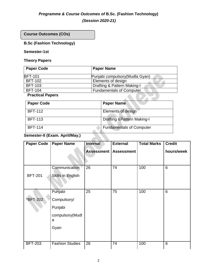## *Programme & Course Outcomes of* **B.Sc. (Fashion Technology)**

*(Session 2020-21)*

**Course Outcomes (COs)**

## **B.Sc (Fashion Technology)**

#### **Semester-1st**

## **Theory Papers**

| <b>Paper Code</b>       | <b>Paper Name</b>               |
|-------------------------|---------------------------------|
| <b>BFT-101</b>          | Punjabi compulsory (Mudla Gyan) |
| <b>BFT-102</b>          | Elements of design              |
| <b>BFT-103</b>          | Drafting & Pattern Making-I     |
| <b>BFT-104</b>          | <b>Fundamentals of Computer</b> |
| <b>Practical Papers</b> |                                 |

## **Practical Papers**

| <b>Paper Code</b> | <b>Paper Name</b>                      |
|-------------------|----------------------------------------|
| <b>BFT-112</b>    | <b>Elements of design</b>              |
| <b>BFT-113</b>    | <b>Drafting &amp; Pattern Making-I</b> |
| <b>BFT-114</b>    | <b>Fundamentals of Computer</b>        |

## **Semester-II (Exam. April/May.)**

| <b>Paper Code</b> | <b>Paper Name</b>      | Internal          | <b>External</b>   | <b>Total Marks</b> | <b>Credit</b> |
|-------------------|------------------------|-------------------|-------------------|--------------------|---------------|
|                   |                        | <b>Assessment</b> | <b>Assessment</b> |                    | hours/week    |
|                   |                        |                   |                   |                    |               |
|                   | Communication          | 26                | 74                | 100                | 6             |
| <b>BFT-201</b>    | Skills in English      |                   |                   |                    |               |
|                   |                        |                   |                   |                    |               |
|                   | Punjabi                | 25                | 75                | 100                | 6             |
| *BFT-202          | Compulsory/            |                   |                   |                    |               |
|                   | Punjabi                |                   |                   |                    |               |
|                   | compulsory(Mudl<br>a   |                   |                   |                    |               |
|                   | Gyan                   |                   |                   |                    |               |
|                   |                        |                   |                   |                    |               |
| <b>BFT-203</b>    | <b>Fashion Studies</b> | 26                | 74                | 100                | 6             |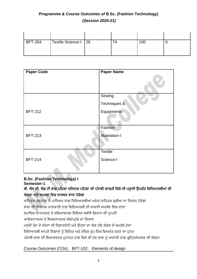|  | 100 |  | Textile Science-I   26 | <b>BFT-204</b> |
|--|-----|--|------------------------|----------------|
|  |     |  |                        |                |

| <b>Paper Code</b> | <b>Paper Name</b>     |
|-------------------|-----------------------|
|                   |                       |
|                   | Sewing                |
|                   | Techniques &          |
| <b>BFT-212</b>    | Equipments            |
|                   |                       |
|                   | Fashion               |
| <b>BFT-213</b>    | <b>Illustration-I</b> |
|                   |                       |
|                   | <b>Textile</b>        |
| <b>BFT-214</b>    | Science-I             |
|                   |                       |

#### **B.Sc. (Fashion Technology) I Semester-1**

## ਬੀ**.** ਐਸ ਸੀ**.** ਐਫ਼ ਟੀ ਭਾਗ ਪਹਿਲਾ ਸਮੈਸਟਰ ਪਹਿਲਾ ਦੀ ਪੰਜਾਬੀ ਲਾਜ਼ਮੀ ਹਿਸ਼ੇਦੀ ਪੜ੍ਹਾਈ ਉਪਰੰਤ ਹਿਹਦਆਰਥੀਆਂ ਦੀ ਯੋਗਤਾ ਅਤੇ ਸਮਰਥਾ ਵਿਚ ਸਾਰਥਕ ਵਾਧਾ ਹੋਵੇਗਾ

ਸਾਹਿਤਕ ਰਚਨਾਵਾਂ ਦੇ ਮਾਧਿਅਮ ਨਾਲ ਵਿਦਿਆਰਥੀਆਂ ਅੰਦਰ ਸਾਹਿਤਕ ਰਚੀਆਂ ਦਾ ਵਿਕਾਸ ਹੋਵੇਗਾ

ਭਾਸ਼ਾ ਦੀ ਸਿਧਾਂਤਕ ਜਾਣਕਾਰੀ ਨਾਲ ਵਿਦਿਆਰਥੀ ਦੀ ਭਾਸ਼ਾਈ ਸਮਰੱਥਾ ਵਿਚ ਵਾਧਾ

ਸਮਾਜਿਕ ਵਾਤਾਵਰਣ ਤੇ ਸਭਿਆਚਾਰਕ ਵਿਸ਼ਿਆਂ ਸਬੰਧੀ ਗਿਆਨ ਦੀ ਪਾਪਤੀ

ਆਲੋਚਨਾਤਮਕ ਤੇ ਸਿਰਜਣਾਤਮਕ ਸੋਚ/ਪਹੰਚ ਦਾ ਵਿਕਾਸ

ਮਨੱਖੀ ਹੋਂਦ ਦੇ ਸੰਕਟਾਂ ਦੀ ਨਿਸ਼ਾਨਦੇਹੀ ਅਤੇ ਉਹਨਾਂ ਦਾ ਯੋਗ ਹੱਲ ਲੱਭਣ ਦੇ ਸਮਰੱਥ ਹੋਣਾ

ਵਿਦਿਆਰਥੀ ਆਪਣੇ ਵਿਚਾਰਾਂ ਨੂੰ ਲਿਖਿਤ ਅਤੇ ਮੌਖਿਕ ਰੂਪ ਵਿਚ ਵਿਅਕਤ ਕਰਨ ਦਾ ਹੁਨਰ

ਪੰਜਾਬੀ ਭਾਸ਼ਾ ਦੀ ਵਿਆਕਰਨਕ ਮੁਹਾਰਤ ਨਾਲ ਕਿਸੇ ਵੀ ਹੋਰ ਭਾਸ਼ਾ ਨੂੰ ਆਸਾਨੀ ਨਾਲ ਗ੍ਰਹਿਣ/ਸਮਝਣ ਦੀ ਯੋਗਤਾ

## Course Outcomes (COs): BFT-102; Elements of design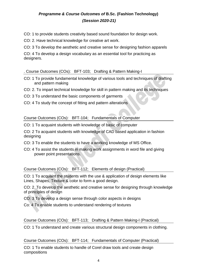CO: 1 to provide students creativity based sound foundation for design work.

CO: 2. Have technical knowledge for creative art work.

CO: 3 To develop the aesthetic and creative sense for designing fashion apparels

CO: 4 To develop a design vocabulary as an essential tool for practicing as designers.

#### . Course Outcomes (COs): BFT-103; Drafting & Pattern Making-I

- CO: 1 To provide fundamental knowledge of various tools and techniques of drafting and pattern making
- CO: 2. To impart technical knowledge for skill in pattern making and its techniques
- CO: 3 To understand the basic components of garments
- CO: 4 To study the concept of fitting and pattern alterations

Course Outcomes (COs): BFT-104; Fundamentals of Computer

CO: 1 To acquaint students with knowledge of basic of computer

CO: 2 To acquaint students with knowledge of CAD based application in fashion designing

- CO: 3 To enable the students to have a working knowledge of MS Office.
- CO: 4 To assist the students in making work assignments in word file and giving power point presentations.

#### Course Outcomes (COs): BFT-112; Elements of design (Practical)

CO: 1 To acquaint the students with the use & application of design elements like Lines, Shapes, Texture & color to form a good design.

CO: 2. To develop the aesthetic and creative sense for designing through knowledge of principles of design

CO: 3 To develop a design sense through color aspects in designs

Co: 4 To enable students to understand rendering of textures

Course Outcomes (COs): BFT-113; Drafting & Pattern Making-I (Practical)

CO: 1 To understand and create various structural design components in clothing.

#### Course Outcomes (COs): BFT-114; Fundamentals of Computer (Practical)

CO: 1 To enable students to handle of Corel draw tools and create design compositions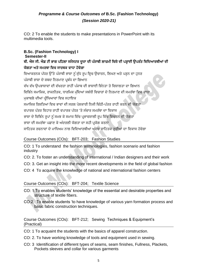CO: 2 To enable the students to make presentations in PowerPoint with its multimedia tools.

#### **B.Sc. (Fashion Technology) I Semester-II**

## ਬੀ. ਐਸ ਸੀ. ਐਫ਼ ਟੀ ਭਾਗ ਪਹਿਲਾ ਸਮੈਸਟਰ ਦਜਾ ਦੀ ਪੰਜਾਬੀ ਲਾਜ਼ਮੀ ਵਿਸ਼ੇ ਦੀ ਪੜਾਈ ਉਪਰੰਤ ਵਿਦਿਆਰਥੀਆਂ ਦੀ ਯੋਗਤਾ ਅਤੇ ਸਮਰਥਾ ਵਿਚ ਸਾਰਥਕ ਵਾਧਾ ਹੋਵੇਗਾ

ਵਿਆਕਰਨਕ ਪੱਧਰ ਉੱਤੇ ਪੰਜਾਬੀ ਭਾਸ਼ਾ ਨੂੰ ਸ਼ੁੱਧ ਰਪ ਵਿਚ ਉਚਾਰਨ, ਲਿਖਣ ਅਤੇ ਪੜ੍ਹਨ ਦਾ ਹਨਰ ਪੰਜਾਬੀ ਭਾਸ਼ਾ ਦੇ ਸ਼ਬਦ ਨਿਰਮਾਣ ਪਬੰਧ ਦਾ ਗਿਆਨ ਵੱਖ ਵੱਖ ਉਪਭਾਸ਼ਾਵਾਂ ਦੀ ਵੱਖਰਤਾ ਰਾਹੀਂ ਪੰਜਾਬ ਦੀ ਭਾਸ਼ਾਈ ਭਿੰਨਤਾ ਤੇ ਵਿਸ਼ਾਲਤਾ ਦਾ ਗਿਆਨ ਵਿਭਿੰਨ ਸਮਾਜਿਕ, ਰਾਜਨੀਤਕ, ਧਾਰਮਿਕ ਮੱਦਿਆਂ ਸਬੰਧੀ ਵਿਚਾਰਾਂ ਦੇ ਨਿਰਮਾਣ ਦੀ ਸਮਰੱਥਾ ਵਿਚ ਵਾਧਾ ਮਕਾਬਲੇ ਦੀਆਂ ਪੀਖਿਆਵਾਂ ਵਿਚ ਸਹਾਇਕ ਸਮਾਜਿਕ ਰਿਸ਼ਤਿਆਂ ਵਿਚ ਭਾਵਾਂ ਦੀ ਸਰਲ ਪੇਸ਼ਕਾਰੀ ਨਿਜੀ ਚਿੱਨੀ-ਪੱਤਰ ਰਾਹੀਂ ਕਰਨ ਦੀ ਯੋਗਤਾ ਵਪਾਰਕ ਪੱਤਰ ਵਿਹਾਰ ਰਾਹੀਂ ਵਪਾਰਕ ਪੱਧਰ 'ਤੇ ਸੰਚਾਰ ਸਮਰੱਥਾ ਦਾ ਵਿਕਾਸ ਭਾਸ਼ਾ ਦੇ ਵਿਭਿੰਨ ਰਪਾਂ ਨੰ ਸਮਝ ਕੇ ਸਮਾਜ ਵਿੱਚ ਪਭਾਵਸ਼ਾਲੀ ਰਪ ਵਿੱਚ ਵਿਚਰਨ ਦੀ ਯੋਗਤਾ ਭਾਸ਼ਾ ਦੀ ਸਮਰੱਥਾ ਪਛਾਣ ਕੇਅੰਦਰਲੀ ਯੋਗਤਾ ਦਾ ਸਿੀ ਪਰਯੋਗ ਕਰਨਾ ਸਾਹਿਤਕ ਰਚਨਾਵਾਂ ਦੇ ਮਾਧਿਅਮ ਨਾਲ ਵਿਦਿਆਰਥੀਆਂ ਅੰਦਰ ਸਾਹਿਤਕ ਰਚੀਆਂ ਦਾ ਵਿਕਾਸ ਹੋਵੇਗਾ

## Course Outcomes (COs): BFT-203; Fashion Studies

CO: 1 To understand the fashion terminologies, fashion scenario and fashion industry

- CO: 2. To foster an understanding of international / Indian designers and their work
- CO: 3. Get an insight into the more recent developments in the field of global fashion
- CO: 4 To acquire the knowlwdge of national and international fashion centers

Course Outcomes (COs): BFT-204; Textile Science

- CO: 1.To enables students' knowledge of the essential and desirable properties and structure of textile fibers.
- CO:2. To enable students 'to have knowledge of various yarn formation process and basic fabric construction techniques.

Course Outcomes (COs): BFT-212; Sewing Techniques & Equipment's (Practical)

- CO: 1 To acquaint the students with the basics of apparel construction.
- CO: 2. To have working knowledge of tools and equipment used in sewing.
- CO: 3 Identification of different types of seams, seam finishes, Fullness, Plackets, Pockets sleeves and collar for various garments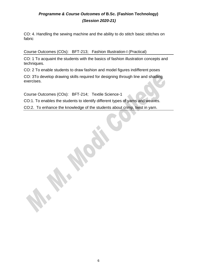CO: 4. Handling the sewing machine and the ability to do stitch basic stitches on fabric

Course Outcomes (COs): BFT-213; Fashion Illustration-I (Practical)

CO: 1 To acquaint the students with the basics of fashion illustration concepts and techniques.

CO: 2 To enable students to draw fashion and model figures indifferent poses

CO: 3To develop drawing skills required for designing through line and shading exercises.

Course Outcomes (COs): BFT-214; Textile Science-1

CO:1. To enables the students to identify different types of yarns and weaves.

CO:2. To enhance the knowledge of the students about crimp, twist in yarn.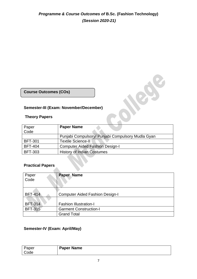**Course Outcomes (COs)**

## **Semester-III (Exam: November/December)**

#### **Theory Papers**

| Paper          | <b>Paper Name</b>                                 |
|----------------|---------------------------------------------------|
| Code           |                                                   |
|                | Punjabi Compulsory/ Punjabi Compulsory Mudla Gyan |
| <b>BFT-301</b> | <b>Textile Science-II</b>                         |
| <b>BFT-404</b> | <b>Computer Aided Fashion Design-I</b>            |
| <b>BFT-303</b> | <b>History of Indian Costumes</b>                 |

New C

#### **Practical Papers**

| Paper<br>Code  | Paper Name                             |
|----------------|----------------------------------------|
|                |                                        |
|                |                                        |
|                |                                        |
| <b>BFT-414</b> | <b>Computer Aided Fashion Design-I</b> |
|                |                                        |
| <b>BFT-314</b> | <b>Fashion Illustration-I</b>          |
| <b>BFT-315</b> | <b>Garment Construction-I</b>          |
|                | <b>Grand Total</b>                     |

## **Semester-IV (Exam: April/May)**

| Paper | <b>Paper Name</b> |
|-------|-------------------|
| Code  |                   |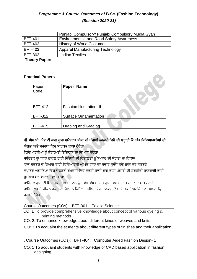|                | Punjabi Compulsory/ Punjabi Compulsory Mudla Gyan |
|----------------|---------------------------------------------------|
| <b>BFT-401</b> | <b>Environmental and Road Safety Awareness</b>    |
| <b>BFT-402</b> | <b>History of World Costumes</b>                  |
| <b>BFT-403</b> | <b>Apparel Manufacturing Technology</b>           |
| <b>BFT-302</b> | <b>Indian Textiles</b>                            |
|                |                                                   |

**Theory Papers**

## **Practical Papers**

| Paper<br>Code  | Paper Name                      |
|----------------|---------------------------------|
|                |                                 |
|                |                                 |
|                |                                 |
| <b>BFT-412</b> | <b>Fashion Illustration-III</b> |
|                |                                 |
| <b>BFT-312</b> | <b>Surface Ornamentation</b>    |
|                |                                 |
| <b>BFT-415</b> | Draping and Grading             |
|                |                                 |

## ਬੀ. ਐਸ ਸੀ. ਐਫ਼ ਟੀ ਭਾਗ ਦਜਾ ਸਮੈਸਟਰ ਤੀਜਾ ਦੀ ਪੰਜਾਬੀ ਲਾਜ਼ਮੀ ਵਿਸ਼ੇ ਦੀ ਪੜ੍ਹਾਈ ਉਪਰੰਤ ਵਿਦਿਆਰਥੀਆਂ ਦੀ ਯੋਗਤਾ ਅਤੇ ਸਮਰਥਾ ਵਿਚ ਸਾਰਥਕ ਵਾਧਾ ਹੋਵੇਗਾ

ਵਿਦਿਆਰਥੀਆਂ ਨੰ ਗੌਰਵਮਈ ਇਤਿਹਾਸ ਦਾ ਗਿਆਨ ਹੋਵੇਗਾ

ਸਾਹਿਤਕ ਰੁਪਾਕਾਰ ਨਾਵਲ ਰਾਹੀਂ ਜ਼ਿੰਦਗੀ ਦੀ ਵਿਸ਼ਾਲਤਾ ਨੂੰ ਸਮਝਣ ਦੀ ਯੋਗਤਾ ਦਾ ਵਿਕਾਸ

ਵਾਕ ਬਣਤਰ ਦੇ ਗਿਆਨ ਰਾਹੀਂ ਵਿਦਿਆਰਥੀ ਆਪਣੇ ਭਾਵਾਂ ਦਾ ਸੰਚਾਰ ਸਚੱਜੇ ਢੰਗ ਨਾਲ ਕਰ ਸਕਣਗੇ

ਿਪਾਰਕ ਅਦਾਹਰਆਂ ਹਿਚ ਦਫ਼ਤਰੀ ਕੰਮਕਾਜ ਹਿਚ ਿਰਤੀ ਜਾਂਦੀ ਰਾਜ ਭਾਸ਼ਾ ਪੰਜਾਬੀ ਦੀ ਤਕਨੀਕੀ ਜਾਣਕਾਰੀ ਰਾਿੀਂ ਰਜ਼ਗਾਰ ਸੰਭਾਵਨਾਵਾਂ ਵਿਚ ਵਾਧਾ

ਸਾਹਿਤਕ ਰਪਾਂ ਦੀ ਸਿਧਾਂਤਕ ਸਮਝ ਦੇ ਨਾਲ ਉਹ ਵੱਖ ਵੱਖ ਸਾਹਿਤ ਰਪਾਂ ਵਿਚ ਸਾਹਿਤ ਰਚਣ ਦੇ ਯੋਗ ਹੋਣਗੇ ਸਾਹਿਤਕਾਰ ਦੇ ਜੀਵਨ ਸਫ਼ਰ ਦਾ ਗਿਆਨ ਵਿਦਿਆਰਥੀਆਂ ਨੂੰ ਰਚਨਾਕਾਰ ਦੇ ਸਾਹਿਤਕ ਦ੍ਰਿਸ਼ਟੀਕੋਣ ਨੂੰ ਸਮਝਣ ਵ੍ਵਿਚ ਸਹਾਈ ਹੋਵੇਗਾ

#### Course Outcomes (COs): BFT-301; Textile Science

- CO: 1 To provide comprehensive knowledge about concept of various dyeing & printing methods
- CO: 2. To enhance knowledge about different kinds of weaves and knits.
- CO: 3 To acquaint the students about different types of finishes and their application

. Course Outcomes (COs): BFT-404; Computer Aided Fashion Design- 1

CO: 1 To acquaint students with knowledge of CAD based application in fashion designing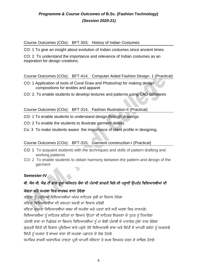Course Outcomes (COs): BFT-303; History of Indian Costumes

CO: 1 To give an insight about evolution of Indian costumes since ancient times.

CO: 2 To understand the importance and relevance of Indian costumes as an inspiration for design creations.

#### Course Outcomes (COs): BFT-414; Computer Aided Fashion Design- 1 (Practical)

- CO: 1 Application of tools of Coral Draw and Photoshop for making design compositions for textiles and apparel
- CO: 2. To enable students to develop textures and patterns using CAD softwares

Course Outcomes (COs): BFT-314; Fashion Illustration-II (Practical)

CO: 1 To enable students to understand design through drawings

CO: 2 To enable the students to illustrate garment details

Co: 3 To make students aware the importance of client profile in designing.

## Course Outcomes (COs): BFT-315; Garment construction-I (Practical)

- CO: 1 To acquaint students with the techniques and skills of pattern drafting and working patterns
- CO: 2 To enable students to obtain harmony between the pattern and design of the garment

## **Semester-IV**

## ਬੀ. ਐਸ ਸੀ. ਐਫ਼ ਟੀ ਭਾਗ ਦੂਜਾ ਸਮੈਸਟਰ ਚੌਥਾ ਦੀ ਪੰਜਾਬੀ ਲਾਜ਼ਮੀ ਵਿਸ਼ੇ ਦੀ ਪੜ੍ਹਾਈ ਉਪਰੰਤ ਵਿਦਿਆਰਥੀਆਂ ਦੀ

## ਯੋਗਤਾ ਅਤੇ ਸਮਰਥਾ ਵਿਚ ਸਾਰਥਕ ਵਾਧਾ ਹੋਵੇਗਾ

ਕਵਿਤਾ ਨੂੰ ਪੜਦਿਆਂ ਵਿਦਿਆਰਥੀਆਂ ਅੰਦਰ ਸਾਹਿਤਕ ਰਚੀ ਦਾ ਵਿਕਾਸ ਹੋਵੇਗਾ

ਕਹਿਤਾ ਹਿਹਦਆਰਥੀਆਂ ਦੀ ਕਲਪਨਾ ਸ਼ਕਤੀ ਦਾ ਹਿਕਾਸ ਕਰੇਗੀ

ਕਵਿਤਾ ਦੁਆਰਾ ਵਿਦਿਆਰਥੀਆਂ ਸ਼ਬਦ ਦੀ ਸਮਰੱਥਾ ਅਤੇ ਪਰਤਾਂ ਬਾਰੇ ਸਹੀ ਅਰਥਾਂ ਵਿਚ ਜਾਣਨਗੇ।

ਵਿਦਿਆਰਥੀਆਂ ਨੂੰ ਸਾਹਿਤਕ ਲਹਿਰਾਂ ਦਾ ਗਿਆਨ ਉਹਨਾਂ ਦੀ ਸਾਹਿਤਕ ਸਿਰਜਣਾ ਦੇ ਹਨਰ ਨੂੰ ਨਿਖਾਰੇਗਾ

ਪੰਜਾਬੀ ਭਾਸ਼ਾ ਦਾ ਪਿਛੋਕੜ ਦਾ ਗਿਆਨ ਵਿਦਿਆਰਥੀਆਂ ਨੂੰ ਮਾਂ ਬੋਲੀ ਪੰਜਾਬੀ ਦੇ ਮਾਣਯੋਗ ਮੱਲਾਂ ਨਾਲ ਜੋੜੇਗਾ

ਗਰਮਖੀ ਲਿੱਪੀ ਦੀ ਵਿਕਾਸ ਪ੍ਰਕਿਰਿਆ ਬਾਰੇ ਪੜ੍ਹਦੇ ਹੋਏ ਵਿਦਿਆਰਥੀ ਭਾਸ਼ਾ ਅਤੇ ਲਿੱਪੀ ਦੇ ਆਪਸੀ ਸਬੰਧਾਂ ਨੰ ਸਮਝਣਗੇ

ਲਿੱਪੀ ਨੂੰ ਸਮਝਣ ਤੋਂ ਬਾਅਦ ਭਾਸ਼ਾ ਦੀ ਸਮਰਥਾ ਪਛਾਨਣ ਦੇ ਯੋਗ ਹੋਣਗੇ

ਸਮਾਜਿਕ ਰਾਜਸੀ ਅਕਾਦਮਿਕ ਹਾਲਤਾਂ ਪ੍ਰਤੀ ਆਪਣੀ ਸੰਵੇਦਨਾ ਤੇ ਸਮਝ ਵਿਅਕਤ ਕਰਨ ਦੇ ਕਾਬਿਲ ਹੋਣਗੇ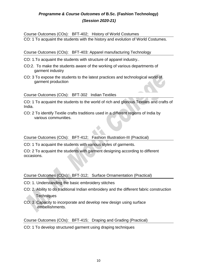Course Outcomes (COs): BFT-402; History of World Costumes

CO: 1 To acquaint the students with the history and evolution of World Costumes.

Course Outcomes (COs): BFT-403: Apparel manufacturing Technology

- CO: 1.To acquaint the students with structure of apparel industry..
- CO:2. To make the students aware of the working of various departments of garment industry
- CO: 3 To expose the students to the latest practices and technological world of garment production

#### Course Outcomes (COs): BFT-302 Indian Textiles

CO: 1 To acquaint the students to the world of rich and glorious Textiles and crafts of India.

CO: 2 To identify Textile crafts traditions used in a different regions of India by various communities.

Course Outcomes (COs): BFT-412; Fashion Illustration-III (Practical)

CO: 1 To acquaint the students with various styles of garments.

CO: 2 To acquaint the students with garment designing according to different occasions.

#### Course Outcomes (COs): BFT-312; Surface Ornamentation (Practical)

- CO: 1. Understanding the basic embroidery stitches
- CO: 2. Ability to do traditional Indian embroidery and the different fabric construction **Techniques**
- CO: 3. Capacity to incorporate and develop new design using surface embellishments.

Course Outcomes (COs): BFT-415; Draping and Grading (Practical)

CO: 1 To develop structured garment using draping techniques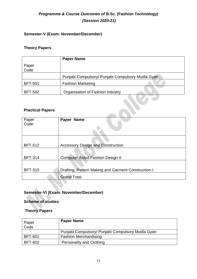## **Semester-V (Exam: November/December)**

## **Theory Papers**

|                | <b>Paper Name</b>                                 |
|----------------|---------------------------------------------------|
| Paper<br>Code  |                                                   |
|                | Punjabi Compulsory/ Punjabi Compulsory Mudla Gyan |
| <b>BFT-501</b> | <b>Fashion Marketing</b>                          |
| <b>BFT-502</b> | Organisation of Fashion Industry                  |

#### **Practical Papers**

| Paper<br>Code  | Paper Name                                          |
|----------------|-----------------------------------------------------|
| <b>BFT-512</b> |                                                     |
|                | <b>Accessory Design and Construction</b>            |
| <b>BFT-314</b> | <b>Computer Aided Fashion Design-II</b>             |
|                |                                                     |
| <b>BFT-315</b> | Drafting, Pattern Making and Garment Construction-I |
|                | <b>Grand Total</b>                                  |
|                |                                                     |

## **Semester-VI (Exam: November/December)**

## **Scheme of studies**

## **Theory Papers**

| Paper<br>Code  | <b>Paper Name</b>                                 |
|----------------|---------------------------------------------------|
|                | Punjabi Compulsory/ Punjabi Compulsory Mudla Gyan |
| <b>BFT-601</b> | <b>Fashion Merchandising</b>                      |
| <b>BFT-602</b> | <b>Personality and Clothing</b>                   |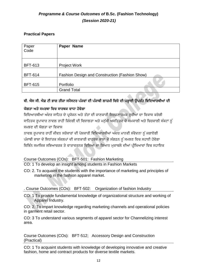## **Practical Papers**

| Paper<br>Code  | Paper Name                                     |
|----------------|------------------------------------------------|
| <b>BFT-613</b> | <b>Project Work</b>                            |
| <b>BFT-614</b> | Fashion Design and Construction (Fashion Show) |
| <b>BFT-615</b> | Portfolio                                      |
|                | <b>Grand Total</b>                             |

## ਬੀ**.** ਐਸ ਸੀ**.** ਐਫ਼ ਟੀ ਭਾਗ ਤੀਜਾ ਸਮੈਸਟਰ ਪੰਜਿਾਂ ਦੀ ਪੰਜਾਬੀ ਲਾਜ਼ਮੀ ਹਿਸ਼ੇਦੀ ਪੜ੍ਹਾਈ ਉਪਰੰਤ ਹਿਹਦਆਰਥੀਆਂ ਦੀ

## ਯੋਗਤਾ ਅਤੇ ਸਮਰਥਾ ਵਿਚ ਸਾਰਥਕ ਵਾਧਾ ਹੋਵੇਗਾ

ਵਿਦਿਆਰਥੀਆਂ ਅੰਦਰ ਸਾਹਿਤ ਦੇ ਪ੍ਰਯੋਜਨ ਅਤੇ ਤੱਤਾਂ ਦੀ ਜਾਣਕਾਰੀ ਸਿਰਜਣਾਤਮਕ ਰੁਚੀਆਂ ਦਾ ਵਿਕਾਸ ਕਰੇਗੀ ਸਾਹਿਤਕ ਰਪਾਕਾਰ ਨਾਵਲ ਰਾਹੀਂ ਜ਼ਿੰਦਗੀ ਦੀ ਵਿਸ਼ਾਲਤਾ ਅਤੇ ਮਨੱਖੀ ਅਸਤਿਤਵ ਦੇ ਸਮਕਾਲੀ ਅਤੇ ਚਿਰਕਾਲੀ ਸੰਕਟਾਂ ਨੂੰ ਸਮਝਣ ਦੀ ਯੋਗਤਾ ਦਾ ਹਿਕਾਸ

ਨਾਵਲ ਰੁਪਾਕਾਰ ਰਾਹੀੰ ਜੀਵਨ ਸਰੋਕਾਰਾਂ ਦੀ ਪੇਸ਼ਕਾਰੀ ਵਿਦਿਆਰਥੀਆਂ ਅੰਦਰ ਮਾਨਵੀ ਸੰਵੇਦਨਾ ਨੂੰ ਜਗਾਏਗੀ ਪੰਜਾਬੀ ਭਾਸ਼ਾ ਦੇ ਸਿਧਾਂਤਕ ਸੰਕਲਪਾਂ ਦੀ ਜਾਣਕਾਰੀ ਵਾਹਰਕ ਭਾਸ਼ਾ ਦੇ ਸੰਗਠਨ ਨੂੰ ਸਮਝਣ ਵਿਚ ਸਹਾਈ ਹੋਵੇਗਾ ਵਿਭਿੰਨ ਸਮਾਜਿਕ ਸਭਿਆਚਰਕ ਤੇ ਵਾਤਾਵਰੂਨਕ ਵਿਸ਼ਿਆਂ ਦਾ ਗਿਆਨ ਮੁਕਾਬਲੇ ਦੀਆਂ ਪ੍ਰੀਖਿਆਵਾਂ ਵਿਚ ਸਹਾਇਕ

#### Course Outcomes (COs): BFT-501: Fashion Marketing

CO: 1 To develop an insight among students in Fashion Markets

CO: 2. To acquaint the students with the importance of marketing and principles of marketing in the fashion apparel market.

. Course Outcomes (COs): BFT-502: Organization of fashion Industry

CO: 1 To provide fundamental knowledge of organizational structure and working of Apparel Industry.

CO: 2. To impart knowledge regarding marketing channels and operational policies in garment retail sector.

CO: 3 To understand various segments of apparel sector for Channelizing interest area.

Course Outcomes (COs): BFT-512; Accessory Design and Construction (Practical)

CO: 1 To acquaint students with knowledge of developing innovative and creative fashion, home and contract products for diverse textile markets.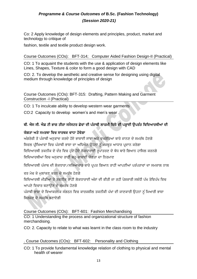Co: 2 Apply knowledge of design elements and principles, product, market and technology to critique of

fashion, textile and textile product design work.

#### Course Outcomes (COs): BFT-314; Computer Aided Fashion Design-II (Practical)

CO: 1 To acquaint the students with the use & application of design elements like Lines, Shapes, Texture & color to form a good design with CAD

CO: 2. To develop the aesthetic and creative sense for designing using digital medium through knowledge of principles of design

Course Outcomes (COs): BFT-315: Drafting, Pattern Making and Garment Construction -I (Practical)

CO: 1 To inculcate ability to develop western wear garments

CO:2 Capacity to develop women's and men's wear .

## ਬੀ**.** ਐਸ ਸੀ**.** ਐਫ਼ ਟੀ ਭਾਗ ਤੀਜਾ ਸਮੈਸਟਰ ਛੇਿਾਂ ਦੀ ਪੰਜਾਬੀ ਲਾਜ਼ਮੀ ਹਿਸ਼ੇਦੀ ਪੜ੍ਹਾਈ ਉਪਰੰਤ ਹਿਹਦਆਰਥੀਆਂ ਦੀ

#### ਯੋਗਤਾ ਅਤੇ ਸਮਰਥਾ ਵਿਚ ਸਾਰਥਕ ਵਾਧਾ ਹੋਵੇਗਾ

ਅੰਗਰੇਜ਼ੀ ਤੋਂ ਪੰਜਾਬੀ ਅਨੁਵਾਦ ਕਰਦੇ ਹੋਏ ਭਾਸ਼ਾਈ ਸਾਂਝਾਂ ਅਤੇ ਵਖਰੇਵਿਆਂ ਬਾਰੇ ਜਾਨਣ ਦੇ ਸਮਰੱਥ ਹੋਣਗੇ ਸਿਵਲ ਪੀਖਿਆਵਾਂ ਵਿਚ ਪੰਜਾਬੀ ਭਾਸ਼ਾ ਦਾ ਅਧਿਐਨ ਉਹਨਾਂ ਨੂੰ ਮਜਬਤ ਆਧਾਰ ਪਦਾਨ ਕਰੇਗਾ ਵਿਦਿਆਰਥੀ ਤਕਨੀਕ ਦੇ ਦੌਰ ਵਿਚ ਹੁੰਦੇ ਹੋਏ ਲੋਕਧਾਰਾਈ ਰਪਾਂਤਰਣ ਦੇ ਬੋਧ ਬਾਰੇ ਗਿਆਨ ਹਾਸਿਲ ਕਰਨਗੇ ਵਿਦਿਆਰਥੀਆਂ ਵਿਚ ਅਨੁਵਾਦ ਰਾਹੀਂ ਬਹ-ਭਾਸ਼ਾਈ ਯੋਗਤਾ ਦਾ ਨਿਰਮਾਣ

ਵਿਦਿਆਰਥੀ ਪੰਜਾਬ ਦੀ ਲੋਕਧਾਰਾ ⁄ਸਭਿਆਚਾਰ ਬਾਰੇ ਪਪਤ ਗਿਆਨ ਰਾਹੀਂ ਆਪਣੀਆਂ ਪਰੰਪਰਾਵਾਂ ਦਾ ਸਮਕਾਲ ਨਾਲ

ਵਰ ਮੇਚ ਕੇ ਮਲਾਂਕਣ ਕਰਨ ਦੇ ਸਮਰੱਥ ਹੋਣਗੇ

ਵਿਦਿਆਰਥੀ ਮੀਡੀਆ ਤੇ ਤਕਨੀਕ ਰਾਹੀਂ ਲੋਕਧਾਰਾਈ ਅੰਸ਼ਾਂ ਦੀ ਕੀਤੀ ਜਾ ਰਹੀ ਪੇਸ਼ਕਾਰੀ ਸਬੰਧੀ ਪੱਖ ਤੇਵਿਪੱਖ ਵਿਚ ਆਪਣੇ ਵਿਚਾਰ ਬਣਾਉਣ ਦੇ ਸਮਰੱਥ ਹੋਣਗੇ

ਪੰਜਾਬੀ ਭਾਸ਼ਾ ਦੇ ਵਿਆਕਰਨਕ ਸੰਗਠਨ ਵਿਚ ਕਾਰਜਸ਼ੀਲ ਤਕਨੀਕੀ ਪੱਖਾਂ ਦੀ ਜਾਣਕਾਰੀ ਉਹਨਾਂ ਨੰ ਮਿਆਰੀ ਭਾਸ਼ਾ ਹਸਰਜਣ ਦੇਸਮਰੱਥ ਬਣਾਏਗੀ

Course Outcomes (COs): BFT-601: Fashion Merchandising

CO: 1 Understanding the process and organizational structure of fashion merchandising.

CO: 2. Capacity to relate to what was learnt in the class room to the industry

. Course Outcomes (COs): BFT-602: Personality and Clothing

CO: 1 To provide fundamental knowledge relation of clothing to physical and mental health of wearer